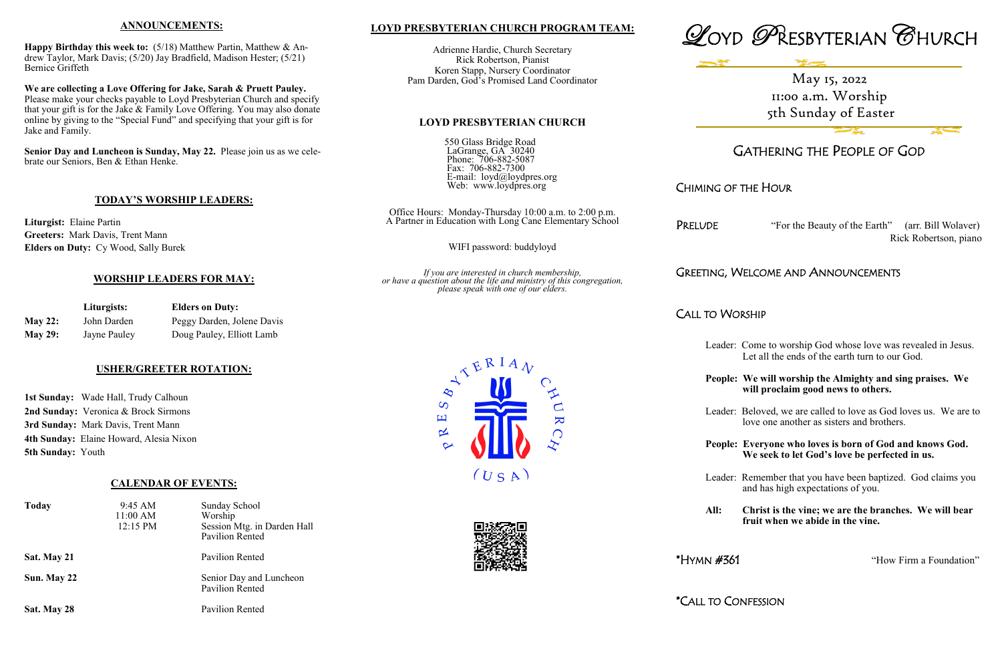## **LOYD PRESBYTERIAN CHURCH PROGRAM TEAM:**

Adrienne Hardie, Church Secretary Rick Robertson, Pianist Koren Stapp, Nursery Coordinator Pam Darden, God's Promised Land Coordinator

## **LOYD PRESBYTERIAN CHURCH**

550 Glass Bridge Road LaGrange, GA 30240 Phone: 706-882-5087 Fax: 706-882-7300 E-mail: loyd@loydpres.org Web: www.loydpres.org

> Office Hours: Monday-Thursday 10:00 a.m. to 2:00 p.m. A Partner in Education with Long Cane Elementary School

PRELUDE "For the Beauty of the Earth" (arr. Bill Wolaver) Rick Robertson, piano

WIFI password: buddyloyd

*If you are interested in church membership, or have a question about the life and ministry of this congregation, please speak with one of our elders.*





# GATHERING THE PEOPLE OF GOD

# CHIMING OF THE HOUR

# GREETING, WELCOME AND ANNOUNCEMENTS

CALL TO WORSHIP

- Leader: Come to worship God whose love was revealed in Jesus. Let all the ends of the earth turn to our God.
- **People: We will worship the Almighty and sing praises. We will proclaim good news to others.**
- Leader: Beloved, we are called to love as God loves us. We are to love one another as sisters and brothers.
- **People: Everyone who loves is born of God and knows God. We seek to let God's love be perfected in us.**
- Leader: Remember that you have been baptized. God claims you and has high expectations of you.
- **All: Christ is the vine; we are the branches. We will bear fruit when we abide in the vine.**

\*HYMN #361 "How Firm a Foundation"

\*CALL TO CONFESSION





 $\overline{\mathbf{K}}$ 

## **ANNOUNCEMENTS:**

**Happy Birthday this week to:** (5/18) Matthew Partin, Matthew & Andrew Taylor, Mark Davis; (5/20) Jay Bradfield, Madison Hester; (5/21) Bernice Griffeth

**We are collecting a Love Offering for Jake, Sarah & Pruett Pauley.**  Please make your checks payable to Loyd Presbyterian Church and specify that your gift is for the Jake & Family Love Offering. You may also donate online by giving to the "Special Fund" and specifying that your gift is for Jake and Family.

**Senior Day and Luncheon is Sunday, May 22.** Please join us as we celebrate our Seniors, Ben & Ethan Henke.

## **TODAY'S WORSHIP LEADERS:**

**Liturgist:** Elaine Partin **Greeters:** Mark Davis, Trent Mann **Elders on Duty:** Cy Wood, Sally Burek

## **WORSHIP LEADERS FOR MAY:**

|                | Liturgists:  | <b>Elders on Duty:</b>     |  |
|----------------|--------------|----------------------------|--|
| <b>May 22:</b> | John Darden  | Peggy Darden, Jolene Davis |  |
| <b>May 29:</b> | Jayne Pauley | Doug Pauley, Elliott Lamb  |  |

## **USHER/GREETER ROTATION:**

**1st Sunday:** Wade Hall, Trudy Calhoun **2nd Sunday:** Veronica & Brock Sirmons **3rd Sunday:** Mark Davis, Trent Mann **4th Sunday:** Elaine Howard, Alesia Nixon **5th Sunday:** Youth

## **CALENDAR OF EVENTS:**

| <b>Today</b> | 9:45 AM<br>11:00 AM<br>12:15 PM | Sunday School<br>Worship<br>Session Mtg. in Darden Hall<br><b>Pavilion Rented</b> |
|--------------|---------------------------------|-----------------------------------------------------------------------------------|
| Sat. May 21  |                                 | Pavilion Rented                                                                   |
| Sun. May 22  |                                 | Senior Day and Luncheon<br>Pavilion Rented                                        |
| Sat. May 28  |                                 | Pavilion Rented                                                                   |

May 15, 2022 11:00 a.m. Worship 5th Sunday of Easter